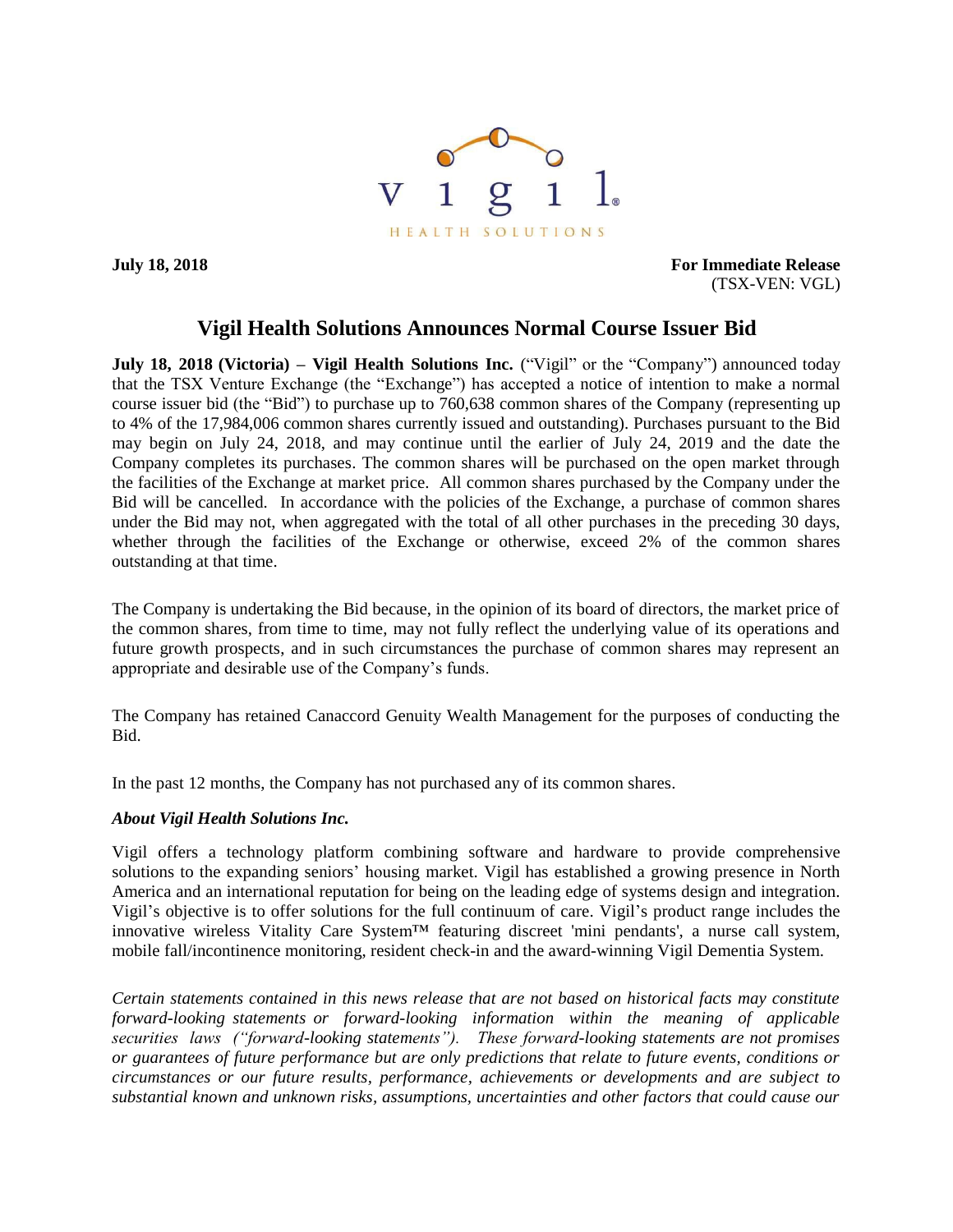

**July 18, 2018 For Immediate Release** (TSX-VEN: VGL)

## **Vigil Health Solutions Announces Normal Course Issuer Bid**

**July 18, 2018 (Victoria) – Vigil Health Solutions Inc.** ("Vigil" or the "Company") announced today that the TSX Venture Exchange (the "Exchange") has accepted a notice of intention to make a normal course issuer bid (the "Bid") to purchase up to 760,638 common shares of the Company (representing up to 4% of the 17,984,006 common shares currently issued and outstanding). Purchases pursuant to the Bid may begin on July 24, 2018, and may continue until the earlier of July 24, 2019 and the date the Company completes its purchases. The common shares will be purchased on the open market through the facilities of the Exchange at market price. All common shares purchased by the Company under the Bid will be cancelled. In accordance with the policies of the Exchange, a purchase of common shares under the Bid may not, when aggregated with the total of all other purchases in the preceding 30 days, whether through the facilities of the Exchange or otherwise, exceed 2% of the common shares outstanding at that time.

The Company is undertaking the Bid because, in the opinion of its board of directors, the market price of the common shares, from time to time, may not fully reflect the underlying value of its operations and future growth prospects, and in such circumstances the purchase of common shares may represent an appropriate and desirable use of the Company's funds.

The Company has retained Canaccord Genuity Wealth Management for the purposes of conducting the Bid.

In the past 12 months, the Company has not purchased any of its common shares.

## *About Vigil Health Solutions Inc.*

Vigil offers a technology platform combining software and hardware to provide comprehensive solutions to the expanding seniors' housing market. Vigil has established a growing presence in North America and an international reputation for being on the leading edge of systems design and integration. Vigil's objective is to offer solutions for the full continuum of care. Vigil's product range includes the innovative wireless Vitality Care System™ featuring discreet 'mini pendants', a nurse call system, mobile fall/incontinence monitoring, resident check-in and the award-winning Vigil Dementia System.

*Certain statements contained in this news release that are not based on historical facts may constitute forward-looking statements or forward-looking information within the meaning of applicable securities laws ("forward-looking statements"). These forward-looking statements are not promises or guarantees of future performance but are only predictions that relate to future events, conditions or circumstances or our future results, performance, achievements or developments and are subject to substantial known and unknown risks, assumptions, uncertainties and other factors that could cause our*